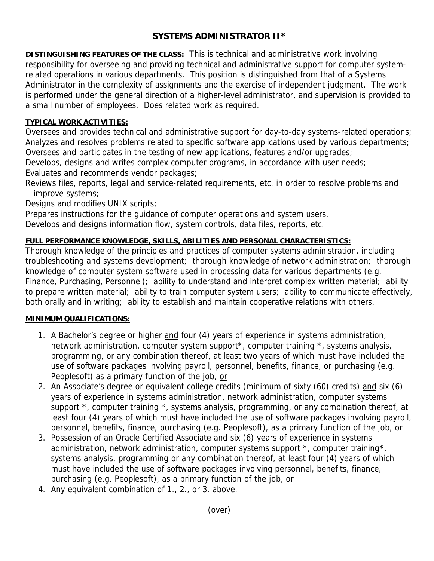# **SYSTEMS ADMINISTRATOR II\***

**DISTINGUISHING FEATURES OF THE CLASS:** This is technical and administrative work involving responsibility for overseeing and providing technical and administrative support for computer systemrelated operations in various departments. This position is distinguished from that of a Systems Administrator in the complexity of assignments and the exercise of independent judgment. The work is performed under the general direction of a higher-level administrator, and supervision is provided to a small number of employees. Does related work as required.

#### **TYPICAL WORK ACTIVITIES:**

Oversees and provides technical and administrative support for day-to-day systems-related operations; Analyzes and resolves problems related to specific software applications used by various departments; Oversees and participates in the testing of new applications, features and/or upgrades;

Develops, designs and writes complex computer programs, in accordance with user needs; Evaluates and recommends vendor packages;

Reviews files, reports, legal and service-related requirements, etc. in order to resolve problems and improve systems;

Designs and modifies UNIX scripts;

Prepares instructions for the guidance of computer operations and system users.

Develops and designs information flow, system controls, data files, reports, etc.

## **FULL PERFORMANCE KNOWLEDGE, SKILLS, ABILITIES AND PERSONAL CHARACTERISTICS:**

Thorough knowledge of the principles and practices of computer systems administration, including troubleshooting and systems development; thorough knowledge of network administration; thorough knowledge of computer system software used in processing data for various departments (e.g. Finance, Purchasing, Personnel); ability to understand and interpret complex written material; ability to prepare written material; ability to train computer system users; ability to communicate effectively, both orally and in writing; ability to establish and maintain cooperative relations with others.

## **MINIMUM QUALIFICATIONS:**

- 1. A Bachelor's degree or higher and four (4) years of experience in systems administration, network administration, computer system support\*, computer training \*, systems analysis, programming, or any combination thereof, at least two years of which must have included the use of software packages involving payroll, personnel, benefits, finance, or purchasing (e.g. Peoplesoft) as a primary function of the job, or
- 2. An Associate's degree or equivalent college credits (minimum of sixty (60) credits) and six (6) years of experience in systems administration, network administration, computer systems support \*, computer training \*, systems analysis, programming, or any combination thereof, at least four (4) years of which must have included the use of software packages involving payroll, personnel, benefits, finance, purchasing (e.g. Peoplesoft), as a primary function of the job, or
- 3. Possession of an Oracle Certified Associate and six (6) years of experience in systems administration, network administration, computer systems support  $*$ , computer training  $*$ , systems analysis, programming or any combination thereof, at least four (4) years of which must have included the use of software packages involving personnel, benefits, finance, purchasing (e.g. Peoplesoft), as a primary function of the job, or
- 4. Any equivalent combination of 1., 2., or 3. above.